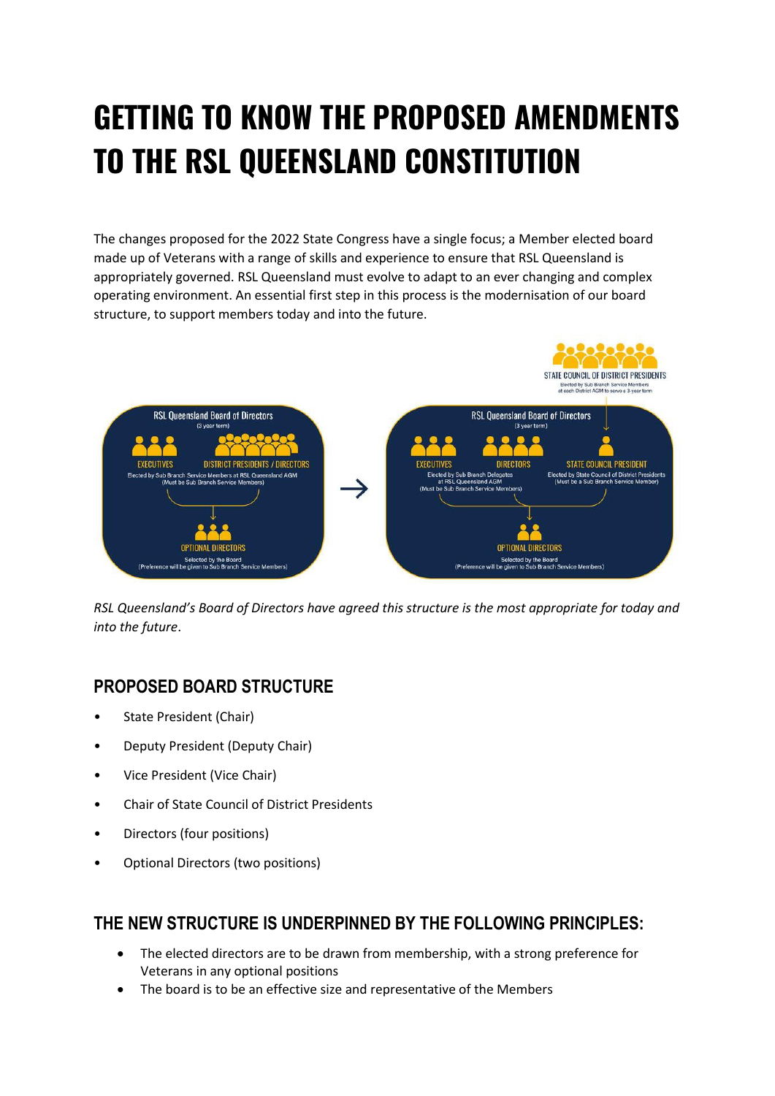# **GETTING TO KNOW THE PROPOSED AMENDMENTS TO THE RSL QUEENSLAND CONSTITUTION**

The changes proposed for the 2022 State Congress have a single focus; a Member elected board made up of Veterans with a range of skills and experience to ensure that RSL Queensland is appropriately governed. RSL Queensland must evolve to adapt to an ever changing and complex operating environment. An essential first step in this process is the modernisation of our board structure, to support members today and into the future.



*RSL Queensland's Board of Directors have agreed this structure is the most appropriate for today and into the future*.

### **PROPOSED BOARD STRUCTURE**

- State President (Chair)
- Deputy President (Deputy Chair)
- Vice President (Vice Chair)
- Chair of State Council of District Presidents
- Directors (four positions)
- Optional Directors (two positions)

## **THE NEW STRUCTURE IS UNDERPINNED BY THE FOLLOWING PRINCIPLES:**

- The elected directors are to be drawn from membership, with a strong preference for Veterans in any optional positions
- The board is to be an effective size and representative of the Members